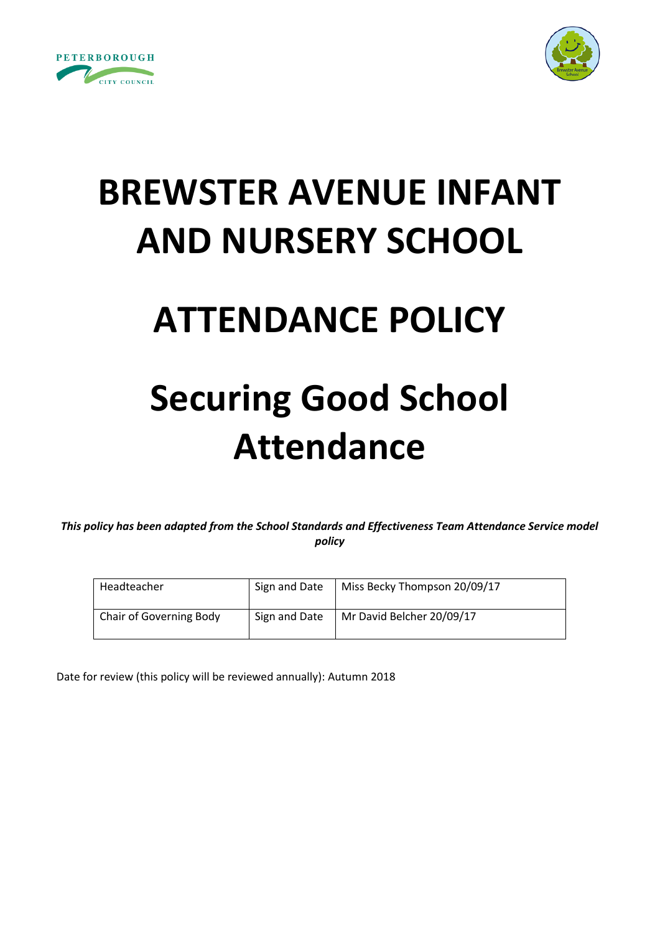



# **BREWSTER AVENUE INFANT AND NURSERY SCHOOL**

### **ATTENDANCE POLICY**

## **Securing Good School Attendance**

*This policy has been adapted from the School Standards and Effectiveness Team Attendance Service model policy*

| Headteacher                    | Sign and Date | Miss Becky Thompson 20/09/17 |
|--------------------------------|---------------|------------------------------|
| <b>Chair of Governing Body</b> | Sign and Date | Mr David Belcher 20/09/17    |

Date for review (this policy will be reviewed annually): Autumn 2018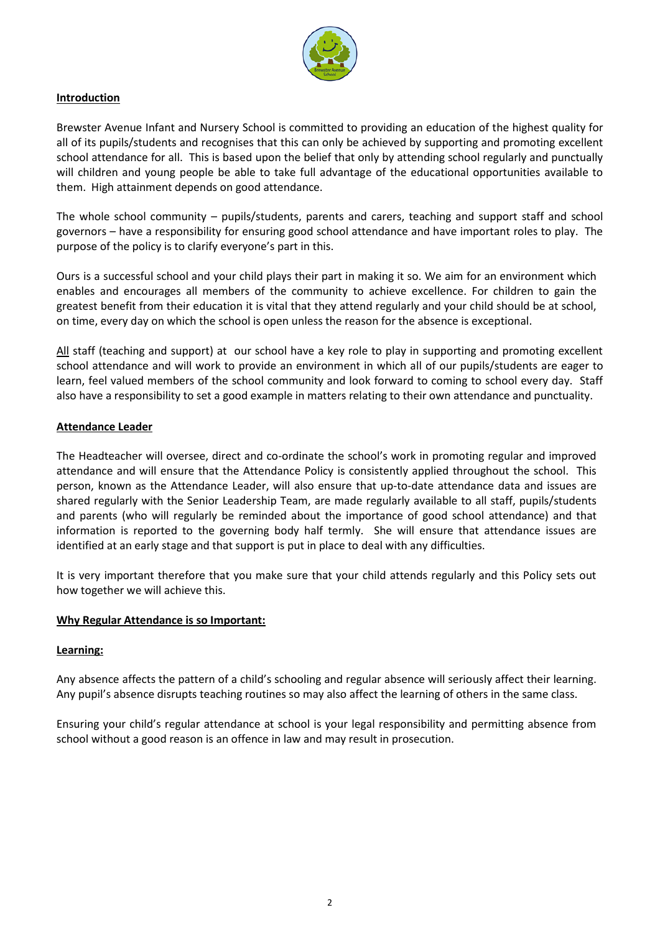

#### **Introduction**

Brewster Avenue Infant and Nursery School is committed to providing an education of the highest quality for all of its pupils/students and recognises that this can only be achieved by supporting and promoting excellent school attendance for all. This is based upon the belief that only by attending school regularly and punctually will children and young people be able to take full advantage of the educational opportunities available to them. High attainment depends on good attendance.

The whole school community – pupils/students, parents and carers, teaching and support staff and school governors – have a responsibility for ensuring good school attendance and have important roles to play. The purpose of the policy is to clarify everyone's part in this.

Ours is a successful school and your child plays their part in making it so. We aim for an environment which enables and encourages all members of the community to achieve excellence. For children to gain the greatest benefit from their education it is vital that they attend regularly and your child should be at school, on time, every day on which the school is open unless the reason for the absence is exceptional.

All staff (teaching and support) at our school have a key role to play in supporting and promoting excellent school attendance and will work to provide an environment in which all of our pupils/students are eager to learn, feel valued members of the school community and look forward to coming to school every day. Staff also have a responsibility to set a good example in matters relating to their own attendance and punctuality.

#### **Attendance Leader**

The Headteacher will oversee, direct and co-ordinate the school's work in promoting regular and improved attendance and will ensure that the Attendance Policy is consistently applied throughout the school. This person, known as the Attendance Leader, will also ensure that up-to-date attendance data and issues are shared regularly with the Senior Leadership Team, are made regularly available to all staff, pupils/students and parents (who will regularly be reminded about the importance of good school attendance) and that information is reported to the governing body half termly. She will ensure that attendance issues are identified at an early stage and that support is put in place to deal with any difficulties.

It is very important therefore that you make sure that your child attends regularly and this Policy sets out how together we will achieve this.

#### **Why Regular Attendance is so Important:**

#### **Learning:**

Any absence affects the pattern of a child's schooling and regular absence will seriously affect their learning. Any pupil's absence disrupts teaching routines so may also affect the learning of others in the same class.

Ensuring your child's regular attendance at school is your legal responsibility and permitting absence from school without a good reason is an offence in law and may result in prosecution.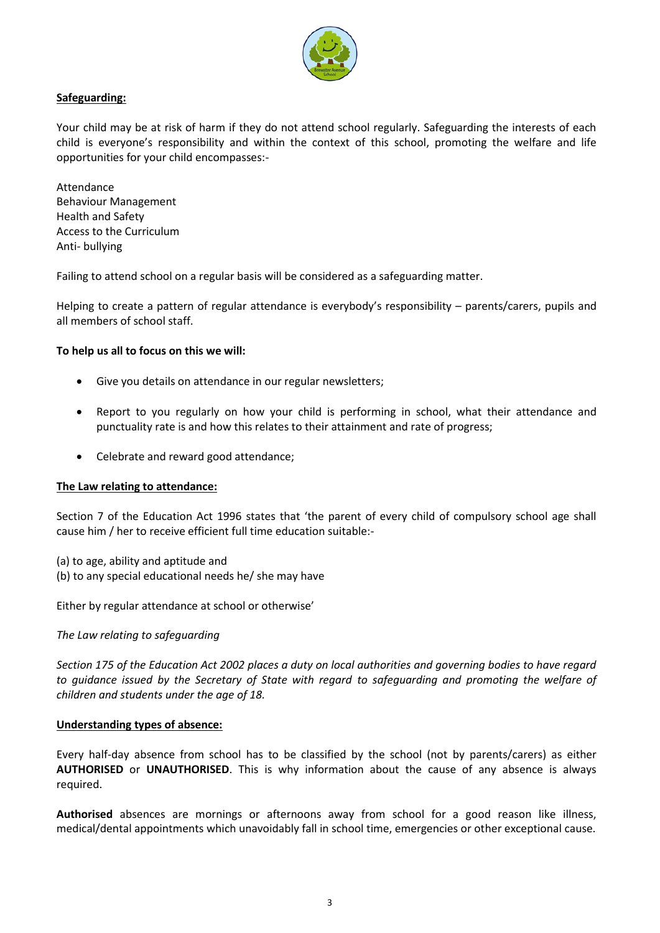

#### **Safeguarding:**

Your child may be at risk of harm if they do not attend school regularly. Safeguarding the interests of each child is everyone's responsibility and within the context of this school, promoting the welfare and life opportunities for your child encompasses:-

Attendance Behaviour Management Health and Safety Access to the Curriculum Anti- bullying

Failing to attend school on a regular basis will be considered as a safeguarding matter.

Helping to create a pattern of regular attendance is everybody's responsibility – parents/carers, pupils and all members of school staff.

#### **To help us all to focus on this we will:**

- Give you details on attendance in our regular newsletters;
- Report to you regularly on how your child is performing in school, what their attendance and punctuality rate is and how this relates to their attainment and rate of progress;
- Celebrate and reward good attendance;

#### **The Law relating to attendance:**

Section 7 of the Education Act 1996 states that 'the parent of every child of compulsory school age shall cause him / her to receive efficient full time education suitable:-

- (a) to age, ability and aptitude and
- (b) to any special educational needs he/ she may have

Either by regular attendance at school or otherwise'

#### *The Law relating to safeguarding*

*Section 175 of the Education Act 2002 places a duty on local authorities and governing bodies to have regard to guidance issued by the Secretary of State with regard to safeguarding and promoting the welfare of children and students under the age of 18.*

#### **Understanding types of absence:**

Every half-day absence from school has to be classified by the school (not by parents/carers) as either **AUTHORISED** or **UNAUTHORISED**. This is why information about the cause of any absence is always required.

**Authorised** absences are mornings or afternoons away from school for a good reason like illness, medical/dental appointments which unavoidably fall in school time, emergencies or other exceptional cause.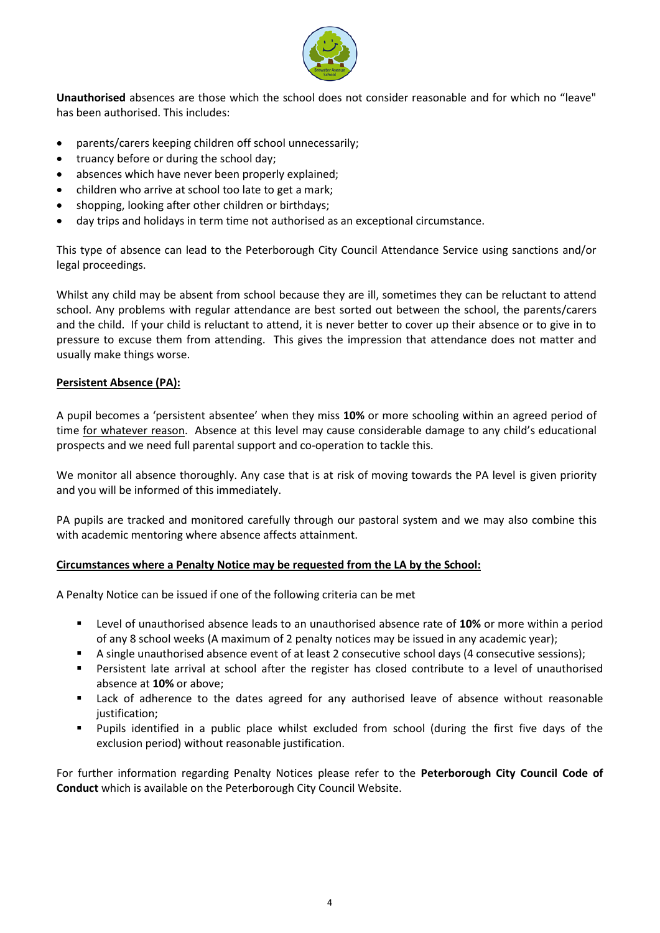

**Unauthorised** absences are those which the school does not consider reasonable and for which no "leave" has been authorised. This includes:

- parents/carers keeping children off school unnecessarily;
- truancy before or during the school day;
- absences which have never been properly explained;
- children who arrive at school too late to get a mark;
- shopping, looking after other children or birthdays;
- day trips and holidays in term time not authorised as an exceptional circumstance.

This type of absence can lead to the Peterborough City Council Attendance Service using sanctions and/or legal proceedings.

Whilst any child may be absent from school because they are ill, sometimes they can be reluctant to attend school. Any problems with regular attendance are best sorted out between the school, the parents/carers and the child. If your child is reluctant to attend, it is never better to cover up their absence or to give in to pressure to excuse them from attending. This gives the impression that attendance does not matter and usually make things worse.

#### **Persistent Absence (PA):**

A pupil becomes a 'persistent absentee' when they miss **10%** or more schooling within an agreed period of time for whatever reason. Absence at this level may cause considerable damage to any child's educational prospects and we need full parental support and co-operation to tackle this.

We monitor all absence thoroughly. Any case that is at risk of moving towards the PA level is given priority and you will be informed of this immediately.

PA pupils are tracked and monitored carefully through our pastoral system and we may also combine this with academic mentoring where absence affects attainment.

#### **Circumstances where a Penalty Notice may be requested from the LA by the School:**

A Penalty Notice can be issued if one of the following criteria can be met

- Level of unauthorised absence leads to an unauthorised absence rate of **10%** or more within a period of any 8 school weeks (A maximum of 2 penalty notices may be issued in any academic year);
- A single unauthorised absence event of at least 2 consecutive school days (4 consecutive sessions);
- **Persistent late arrival at school after the register has closed contribute to a level of unauthorised** absence at **10%** or above;
- **EXEC** Lack of adherence to the dates agreed for any authorised leave of absence without reasonable justification;
- Pupils identified in a public place whilst excluded from school (during the first five days of the exclusion period) without reasonable justification.

For further information regarding Penalty Notices please refer to the **Peterborough City Council Code of Conduct** which is available on the Peterborough City Council Website.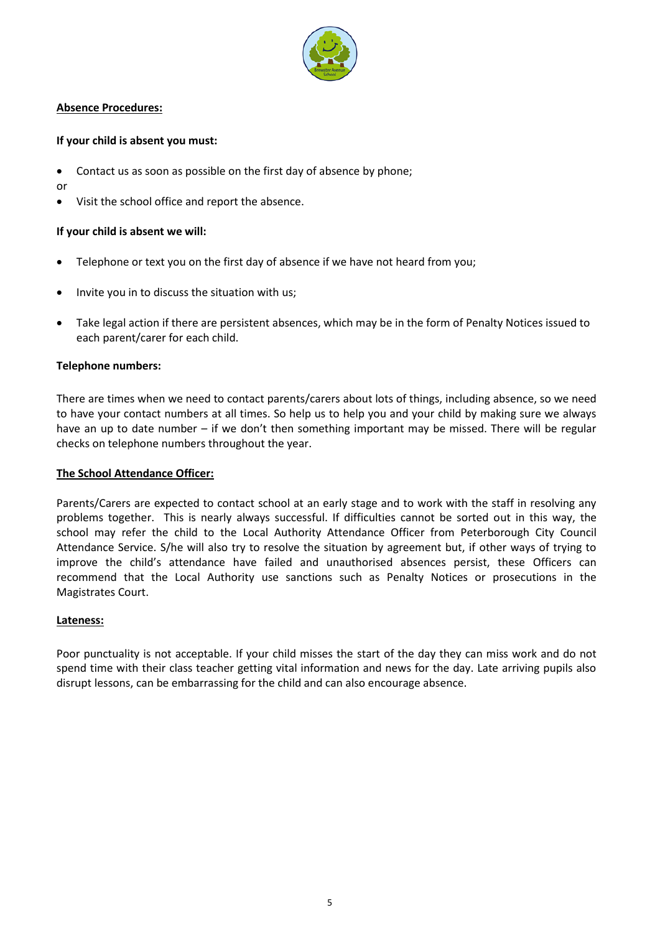

#### **Absence Procedures:**

#### **If your child is absent you must:**

Contact us as soon as possible on the first day of absence by phone;

or

Visit the school office and report the absence.

#### **If your child is absent we will:**

- Telephone or text you on the first day of absence if we have not heard from you;
- Invite you in to discuss the situation with us;
- Take legal action if there are persistent absences, which may be in the form of Penalty Notices issued to each parent/carer for each child.

#### **Telephone numbers:**

There are times when we need to contact parents/carers about lots of things, including absence, so we need to have your contact numbers at all times. So help us to help you and your child by making sure we always have an up to date number – if we don't then something important may be missed. There will be regular checks on telephone numbers throughout the year.

#### **The School Attendance Officer:**

Parents/Carers are expected to contact school at an early stage and to work with the staff in resolving any problems together. This is nearly always successful. If difficulties cannot be sorted out in this way, the school may refer the child to the Local Authority Attendance Officer from Peterborough City Council Attendance Service. S/he will also try to resolve the situation by agreement but, if other ways of trying to improve the child's attendance have failed and unauthorised absences persist, these Officers can recommend that the Local Authority use sanctions such as Penalty Notices or prosecutions in the Magistrates Court.

#### **Lateness:**

Poor punctuality is not acceptable. If your child misses the start of the day they can miss work and do not spend time with their class teacher getting vital information and news for the day. Late arriving pupils also disrupt lessons, can be embarrassing for the child and can also encourage absence.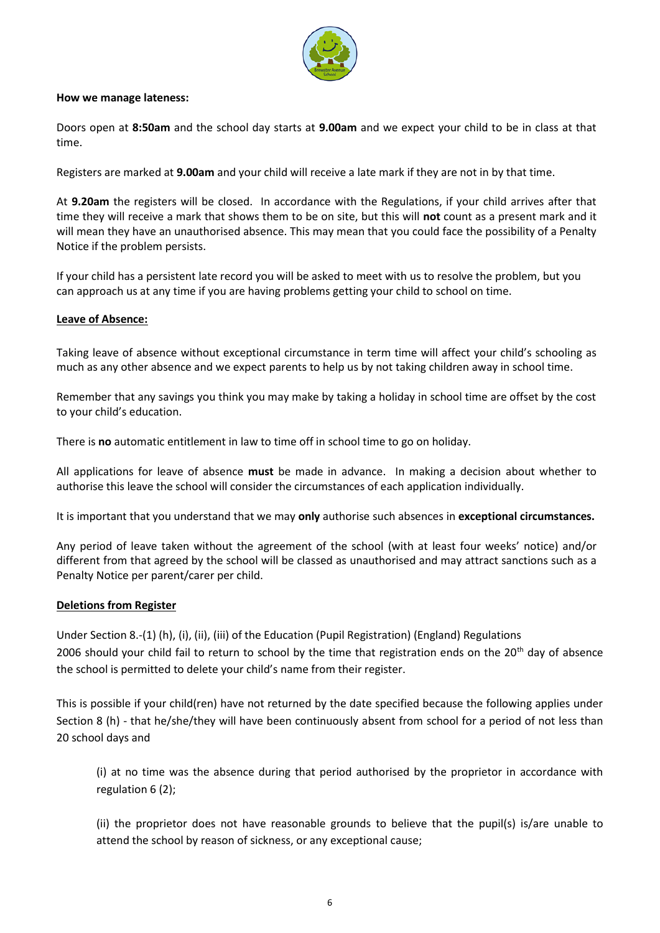

#### **How we manage lateness:**

Doors open at **8:50am** and the school day starts at **9.00am** and we expect your child to be in class at that time.

Registers are marked at **9.00am** and your child will receive a late mark if they are not in by that time.

At **9.20am** the registers will be closed. In accordance with the Regulations, if your child arrives after that time they will receive a mark that shows them to be on site, but this will **not** count as a present mark and it will mean they have an unauthorised absence. This may mean that you could face the possibility of a Penalty Notice if the problem persists.

If your child has a persistent late record you will be asked to meet with us to resolve the problem, but you can approach us at any time if you are having problems getting your child to school on time.

#### **Leave of Absence:**

Taking leave of absence without exceptional circumstance in term time will affect your child's schooling as much as any other absence and we expect parents to help us by not taking children away in school time.

Remember that any savings you think you may make by taking a holiday in school time are offset by the cost to your child's education.

There is **no** automatic entitlement in law to time off in school time to go on holiday.

All applications for leave of absence **must** be made in advance. In making a decision about whether to authorise this leave the school will consider the circumstances of each application individually.

It is important that you understand that we may **only** authorise such absences in **exceptional circumstances.** 

Any period of leave taken without the agreement of the school (with at least four weeks' notice) and/or different from that agreed by the school will be classed as unauthorised and may attract sanctions such as a Penalty Notice per parent/carer per child.

#### **Deletions from Register**

Under Section 8.-(1) (h), (i), (ii), (iii) of the Education (Pupil Registration) (England) Regulations 2006 should your child fail to return to school by the time that registration ends on the  $20<sup>th</sup>$  day of absence the school is permitted to delete your child's name from their register.

This is possible if your child(ren) have not returned by the date specified because the following applies under Section 8 (h) - that he/she/they will have been continuously absent from school for a period of not less than 20 school days and

(i) at no time was the absence during that period authorised by the proprietor in accordance with regulation 6 (2);

(ii) the proprietor does not have reasonable grounds to believe that the pupil(s) is/are unable to attend the school by reason of sickness, or any exceptional cause;